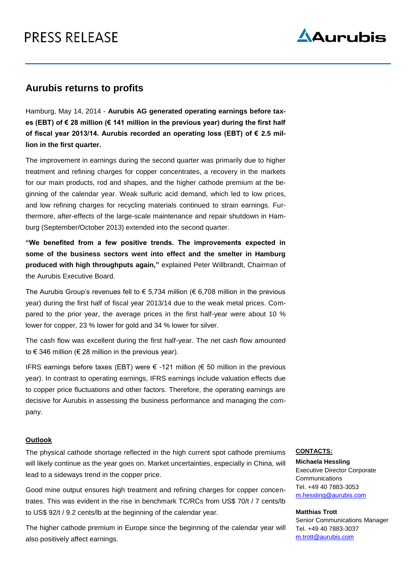# PRESS RELEASE



### **Aurubis returns to profits**

Hamburg, May 14, 2014 - **Aurubis AG generated operating earnings before taxes (EBT) of € 28 million (€ 141 million in the previous year) during the first half of fiscal year 2013/14. Aurubis recorded an operating loss (EBT) of € 2.5 million in the first quarter.**

The improvement in earnings during the second quarter was primarily due to higher treatment and refining charges for copper concentrates, a recovery in the markets for our main products, rod and shapes, and the higher cathode premium at the beginning of the calendar year. Weak sulfuric acid demand, which led to low prices, and low refining charges for recycling materials continued to strain earnings. Furthermore, after-effects of the large-scale maintenance and repair shutdown in Hamburg (September/October 2013) extended into the second quarter.

**"We benefited from a few positive trends. The improvements expected in some of the business sectors went into effect and the smelter in Hamburg produced with high throughputs again,"** explained Peter Willbrandt, Chairman of the Aurubis Executive Board.

The Aurubis Group's revenues fell to  $\epsilon$  5,734 million ( $\epsilon$  6,708 million in the previous year) during the first half of fiscal year 2013/14 due to the weak metal prices. Compared to the prior year, the average prices in the first half-year were about 10 % lower for copper, 23 % lower for gold and 34 % lower for silver.

The cash flow was excellent during the first half-year. The net cash flow amounted to € 346 million (€ 28 million in the previous year).

IFRS earnings before taxes (EBT) were € -121 million (€ 50 million in the previous year). In contrast to operating earnings, IFRS earnings include valuation effects due to copper price fluctuations and other factors. Therefore, the operating earnings are decisive for Aurubis in assessing the business performance and managing the company.

#### **Outlook**

The physical cathode shortage reflected in the high current spot cathode premiums will likely continue as the year goes on. Market uncertainties, especially in China, will lead to a sideways trend in the copper price.

Good mine output ensures high treatment and refining charges for copper concentrates. This was evident in the rise in benchmark TC/RCs from US\$ 70/t / 7 cents/lb to US\$ 92/t / 9.2 cents/lb at the beginning of the calendar year.

The higher cathode premium in Europe since the beginning of the calendar year will also positively affect earnings.

#### **CONTACTS:**

**Michaela Hessling** Executive Director Corporate Communications Tel. +49 40 7883-3053 m.hessling@aurubis.com

#### **Matthias Trott**

Senior Communications Manager Tel. +49 40 7883-3037 m.trott@aurubis.com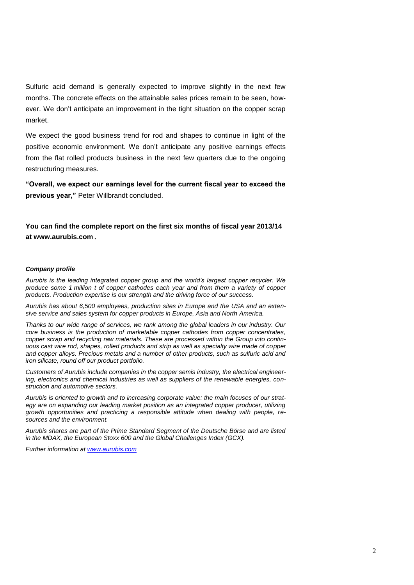Sulfuric acid demand is generally expected to improve slightly in the next few months. The concrete effects on the attainable sales prices remain to be seen, however. We don't anticipate an improvement in the tight situation on the copper scrap market.

We expect the good business trend for rod and shapes to continue in light of the positive economic environment. We don't anticipate any positive earnings effects from the flat rolled products business in the next few quarters due to the ongoing restructuring measures.

**"Overall, we expect our earnings level for the current fiscal year to exceed the previous year,"** Peter Willbrandt concluded.

**You can find the complete report on the first six months of fiscal year 2013/14 at www.aurubis.com.**

#### *Company profile*

*Aurubis is the leading integrated copper group and the world's largest copper recycler. We produce some 1 million t of copper cathodes each year and from them a variety of copper products. Production expertise is our strength and the driving force of our success.* 

*Aurubis has about 6,500 employees, production sites in Europe and the USA and an extensive service and sales system for copper products in Europe, Asia and North America.* 

*Thanks to our wide range of services, we rank among the global leaders in our industry. Our core business is the production of marketable copper cathodes from copper concentrates, copper scrap and recycling raw materials. These are processed within the Group into continuous cast wire rod, shapes, rolled products and strip as well as specialty wire made of copper and copper alloys. Precious metals and a number of other products, such as sulfuric acid and iron silicate, round off our product portfolio.*

*Customers of Aurubis include companies in the copper semis industry, the electrical engineering, electronics and chemical industries as well as suppliers of the renewable energies, construction and automotive sectors.*

*Aurubis is oriented to growth and to increasing corporate value: the main focuses of our strategy are on expanding our leading market position as an integrated copper producer, utilizing growth opportunities and practicing a responsible attitude when dealing with people, resources and the environment.*

*Aurubis shares are part of the Prime Standard Segment of the Deutsche Börse and are listed in the MDAX, the European Stoxx 600 and the Global Challenges Index (GCX).* 

*Further information at [www.aurubis.com](http://www.aurubis.com/)*